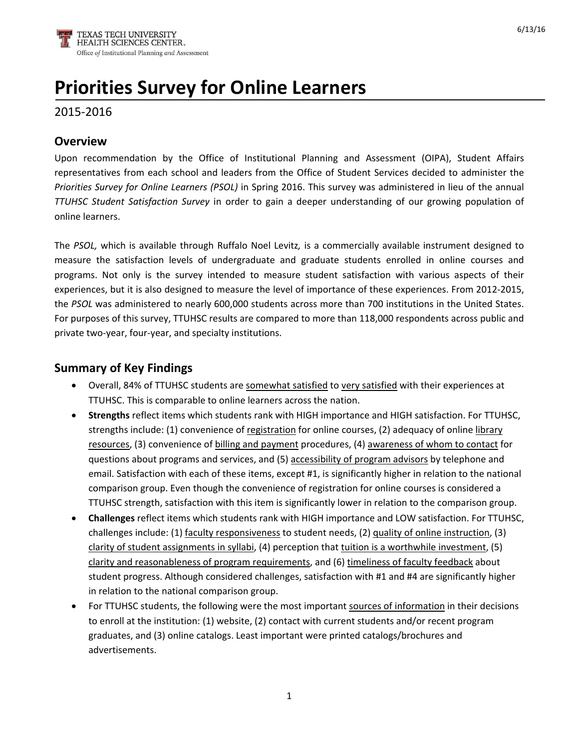# **Priorities Survey for Online Learners**

# 2015‐2016

#### **Overview**

Upon recommendation by the Office of Institutional Planning and Assessment (OIPA), Student Affairs representatives from each school and leaders from the Office of Student Services decided to administer the *Priorities Survey for Online Learners (PSOL)* in Spring 2016. This survey was administered in lieu of the annual *TTUHSC Student Satisfaction Survey* in order to gain a deeper understanding of our growing population of online learners.

The *PSOL,* which is available through Ruffalo Noel Levitz*,* is a commercially available instrument designed to measure the satisfaction levels of undergraduate and graduate students enrolled in online courses and programs. Not only is the survey intended to measure student satisfaction with various aspects of their experiences, but it is also designed to measure the level of importance of these experiences. From 2012‐2015, the *PSOL* was administered to nearly 600,000 students across more than 700 institutions in the United States. For purposes of this survey, TTUHSC results are compared to more than 118,000 respondents across public and private two‐year, four‐year, and specialty institutions.

#### **Summary of Key Findings**

- Overall, 84% of TTUHSC students are somewhat satisfied to very satisfied with their experiences at TTUHSC. This is comparable to online learners across the nation.
- **Strengths** reflect items which students rank with HIGH importance and HIGH satisfaction. For TTUHSC, strengths include: (1) convenience of registration for online courses, (2) adequacy of online library resources, (3) convenience of billing and payment procedures, (4) awareness of whom to contact for questions about programs and services, and (5) accessibility of program advisors by telephone and email. Satisfaction with each of these items, except #1, is significantly higher in relation to the national comparison group. Even though the convenience of registration for online courses is considered a TTUHSC strength, satisfaction with this item is significantly lower in relation to the comparison group.
- **Challenges** reflect items which students rank with HIGH importance and LOW satisfaction. For TTUHSC, challenges include: (1) faculty responsiveness to student needs, (2) quality of online instruction, (3) clarity of student assignments in syllabi, (4) perception that tuition is a worthwhile investment, (5) clarity and reasonableness of program requirements, and (6) timeliness of faculty feedback about student progress. Although considered challenges, satisfaction with #1 and #4 are significantly higher in relation to the national comparison group.
- For TTUHSC students, the following were the most important sources of information in their decisions to enroll at the institution: (1) website, (2) contact with current students and/or recent program graduates, and (3) online catalogs. Least important were printed catalogs/brochures and advertisements.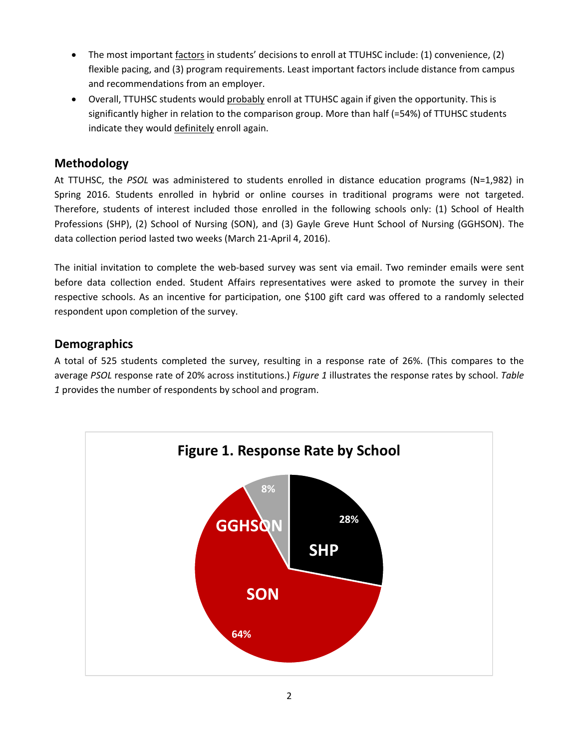- The most important factors in students' decisions to enroll at TTUHSC include: (1) convenience, (2) flexible pacing, and (3) program requirements. Least important factors include distance from campus and recommendations from an employer.
- Overall, TTUHSC students would probably enroll at TTUHSC again if given the opportunity. This is significantly higher in relation to the comparison group. More than half (=54%) of TTUHSC students indicate they would definitely enroll again.

# **Methodology**

At TTUHSC, the *PSOL* was administered to students enrolled in distance education programs (N=1,982) in Spring 2016. Students enrolled in hybrid or online courses in traditional programs were not targeted. Therefore, students of interest included those enrolled in the following schools only: (1) School of Health Professions (SHP), (2) School of Nursing (SON), and (3) Gayle Greve Hunt School of Nursing (GGHSON). The data collection period lasted two weeks (March 21‐April 4, 2016).

The initial invitation to complete the web-based survey was sent via email. Two reminder emails were sent before data collection ended. Student Affairs representatives were asked to promote the survey in their respective schools. As an incentive for participation, one \$100 gift card was offered to a randomly selected respondent upon completion of the survey.

## **Demographics**

A total of 525 students completed the survey, resulting in a response rate of 26%. (This compares to the average *PSOL* response rate of 20% across institutions.) *Figure 1* illustrates the response rates by school. *Table 1* provides the number of respondents by school and program.

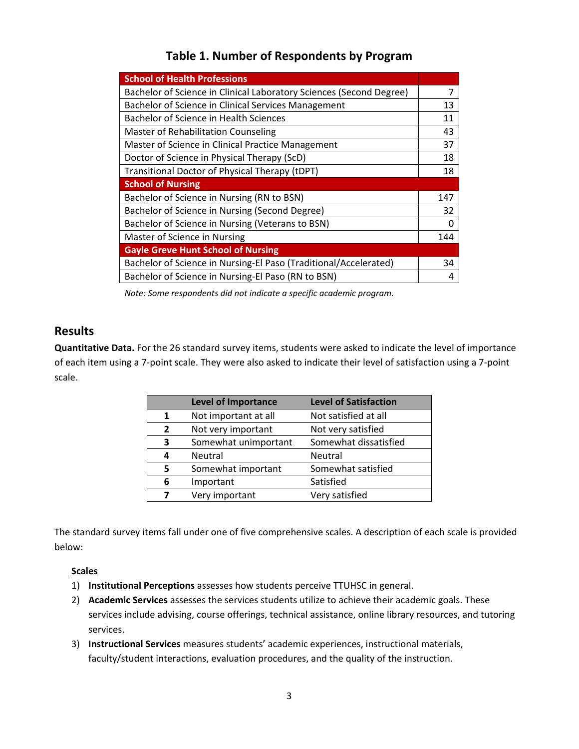| <b>School of Health Professions</b>                                 |     |  |  |
|---------------------------------------------------------------------|-----|--|--|
| Bachelor of Science in Clinical Laboratory Sciences (Second Degree) | 7   |  |  |
| Bachelor of Science in Clinical Services Management                 |     |  |  |
| Bachelor of Science in Health Sciences                              |     |  |  |
| Master of Rehabilitation Counseling                                 |     |  |  |
| Master of Science in Clinical Practice Management                   | 37  |  |  |
| Doctor of Science in Physical Therapy (ScD)                         | 18  |  |  |
| Transitional Doctor of Physical Therapy (tDPT)                      |     |  |  |
| <b>School of Nursing</b>                                            |     |  |  |
| Bachelor of Science in Nursing (RN to BSN)                          | 147 |  |  |
| Bachelor of Science in Nursing (Second Degree)                      | 32  |  |  |
| Bachelor of Science in Nursing (Veterans to BSN)                    | O   |  |  |
| Master of Science in Nursing                                        |     |  |  |
| <b>Gayle Greve Hunt School of Nursing</b>                           |     |  |  |
| Bachelor of Science in Nursing-El Paso (Traditional/Accelerated)    | 34  |  |  |
| Bachelor of Science in Nursing-El Paso (RN to BSN)                  |     |  |  |

# **Table 1. Number of Respondents by Program**

*Note: Some respondents did not indicate a specific academic program.*

## **Results**

**Quantitative Data.** For the 26 standard survey items, students were asked to indicate the level of importance of each item using a 7‐point scale. They were also asked to indicate their level of satisfaction using a 7‐point scale.

|                | <b>Level of Importance</b> | <b>Level of Satisfaction</b> |
|----------------|----------------------------|------------------------------|
| 1              | Not important at all       | Not satisfied at all         |
| $\overline{2}$ | Not very important         | Not very satisfied           |
| 3              | Somewhat unimportant       | Somewhat dissatisfied        |
| Δ              | Neutral                    | Neutral                      |
| 5              | Somewhat important         | Somewhat satisfied           |
| 6              | Important                  | Satisfied                    |
| 7              | Very important             | Very satisfied               |

The standard survey items fall under one of five comprehensive scales. A description of each scale is provided below:

#### **Scales**

- 1) **Institutional Perceptions** assesses how students perceive TTUHSC in general.
- 2) **Academic Services** assesses the services students utilize to achieve their academic goals. These services include advising, course offerings, technical assistance, online library resources, and tutoring services.
- 3) **Instructional Services** measures students' academic experiences, instructional materials, faculty/student interactions, evaluation procedures, and the quality of the instruction.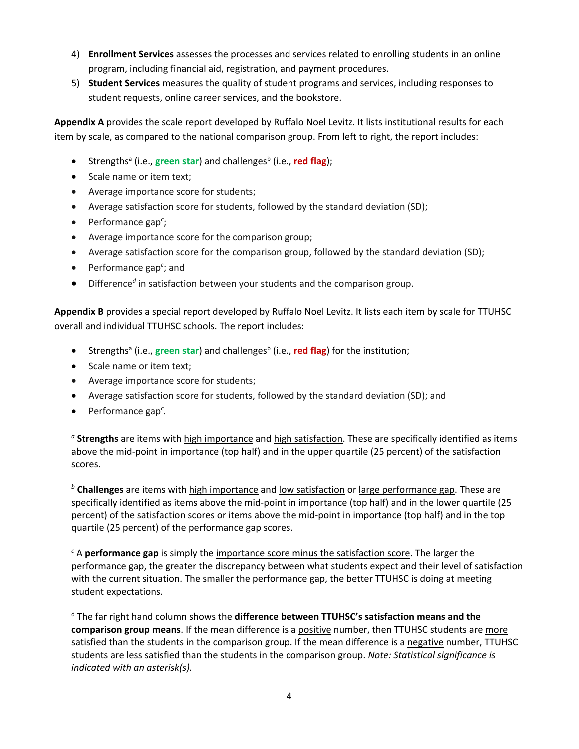- 4) **Enrollment Services** assesses the processes and services related to enrolling students in an online program, including financial aid, registration, and payment procedures.
- 5) **Student Services** measures the quality of student programs and services, including responses to student requests, online career services, and the bookstore.

**Appendix A** provides the scale report developed by Ruffalo Noel Levitz. It lists institutional results for each item by scale, as compared to the national comparison group. From left to right, the report includes:

- Strengths<sup>a</sup> (i.e., green star) and challenges<sup>b</sup> (i.e., red flag);
- Scale name or item text;
- Average importance score for students;
- Average satisfaction score for students, followed by the standard deviation (SD);
- Performance gap<sup>c</sup>;
- Average importance score for the comparison group;
- Average satisfaction score for the comparison group, followed by the standard deviation (SD);
- Performance gap<sup>c</sup>; and
- Difference*<sup>d</sup>* in satisfaction between your students and the comparison group.

**Appendix B** provides a special report developed by Ruffalo Noel Levitz. It lists each item by scale for TTUHSC overall and individual TTUHSC schools. The report includes:

- **•** Strengths<sup>a</sup> (i.e., green star) and challenges<sup>b</sup> (i.e., red flag) for the institution;
- Scale name or item text;
- Average importance score for students;
- Average satisfaction score for students, followed by the standard deviation (SD); and
- Performance gap*<sup>c</sup> .*

*<sup>a</sup>* **Strengths** are items with high importance and high satisfaction. These are specifically identified as items above the mid‐point in importance (top half) and in the upper quartile (25 percent) of the satisfaction scores.

*<sup>b</sup>* **Challenges** are items with high importance and low satisfaction or large performance gap. These are specifically identified as items above the mid-point in importance (top half) and in the lower quartile (25 percent) of the satisfaction scores or items above the mid-point in importance (top half) and in the top quartile (25 percent) of the performance gap scores.

*<sup>c</sup>* A **performance gap** is simply the importance score minus the satisfaction score. The larger the performance gap, the greater the discrepancy between what students expect and their level of satisfaction with the current situation. The smaller the performance gap, the better TTUHSC is doing at meeting student expectations.

<sup>d</sup> The far right hand column shows the **difference between TTUHSC's satisfaction means and the comparison group means**. If the mean difference is a positive number, then TTUHSC students are more satisfied than the students in the comparison group. If the mean difference is a negative number, TTUHSC students are less satisfied than the students in the comparison group. *Note: Statistical significance is indicated with an asterisk(s).*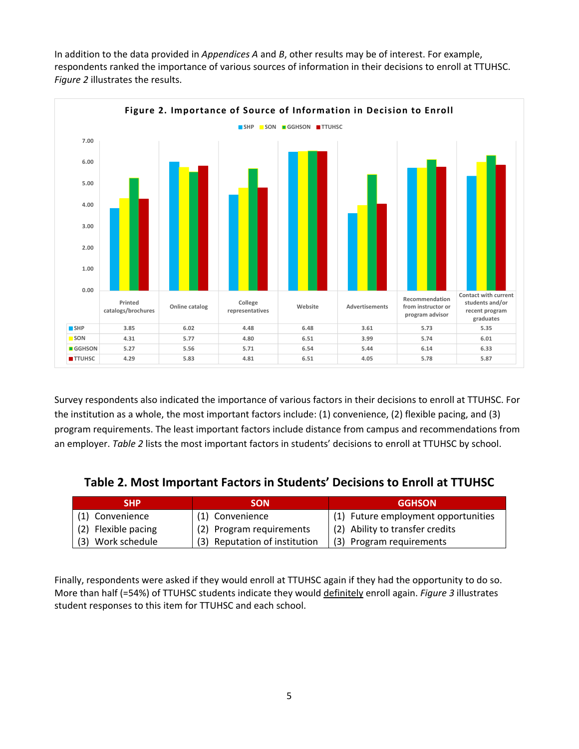In addition to the data provided in *Appendices A* and *B*, other results may be of interest. For example, respondents ranked the importance of various sources of information in their decisions to enroll at TTUHSC. *Figure 2* illustrates the results.



Survey respondents also indicated the importance of various factors in their decisions to enroll at TTUHSC. For the institution as a whole, the most important factors include: (1) convenience, (2) flexible pacing, and (3) program requirements. The least important factors include distance from campus and recommendations from an employer. *Table 2* lists the most important factors in students' decisions to enroll at TTUHSC by school.

| Table 2. Most Important Factors in Students' Decisions to Enroll at TTUHSC |  |
|----------------------------------------------------------------------------|--|
|----------------------------------------------------------------------------|--|

| <b>SHP</b>          | <b>SON</b>                    | <b>GGHSON</b>                       |
|---------------------|-------------------------------|-------------------------------------|
| (1) Convenience     | (1) Convenience               | (1) Future employment opportunities |
| (2) Flexible pacing | (2) Program requirements      | (2) Ability to transfer credits     |
| (3) Work schedule   | (3) Reputation of institution | (3) Program requirements            |

Finally, respondents were asked if they would enroll at TTUHSC again if they had the opportunity to do so. More than half (=54%) of TTUHSC students indicate they would definitely enroll again. *Figure 3* illustrates student responses to this item for TTUHSC and each school.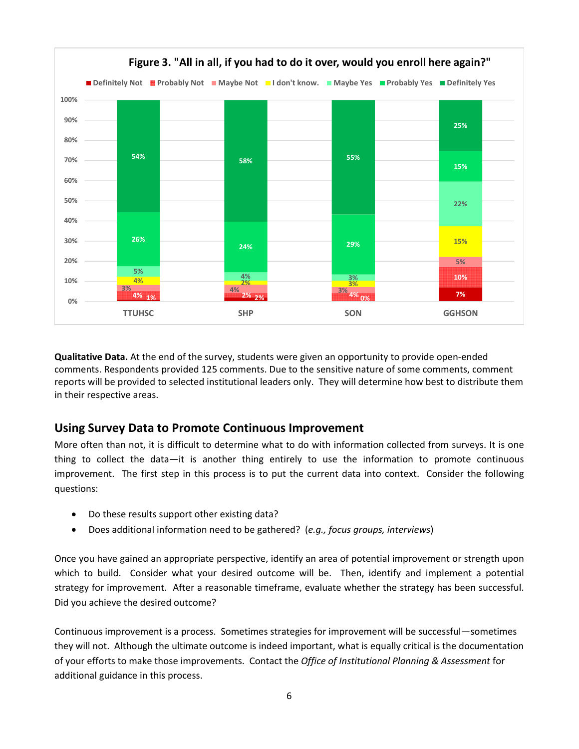

**Qualitative Data.** At the end of the survey, students were given an opportunity to provide open‐ended comments. Respondents provided 125 comments. Due to the sensitive nature of some comments, comment reports will be provided to selected institutional leaders only. They will determine how best to distribute them in their respective areas.

## **Using Survey Data to Promote Continuous Improvement**

More often than not, it is difficult to determine what to do with information collected from surveys. It is one thing to collect the data—it is another thing entirely to use the information to promote continuous improvement. The first step in this process is to put the current data into context. Consider the following questions:

- Do these results support other existing data?
- Does additional information need to be gathered? (*e.g., focus groups, interviews*)

Once you have gained an appropriate perspective, identify an area of potential improvement or strength upon which to build. Consider what your desired outcome will be. Then, identify and implement a potential strategy for improvement. After a reasonable timeframe, evaluate whether the strategy has been successful. Did you achieve the desired outcome?

Continuous improvement is a process. Sometimes strategies for improvement will be successful—sometimes they will not. Although the ultimate outcome is indeed important, what is equally critical is the documentation of your efforts to make those improvements. Contact the *Office of Institutional Planning & Assessment* for additional guidance in this process.